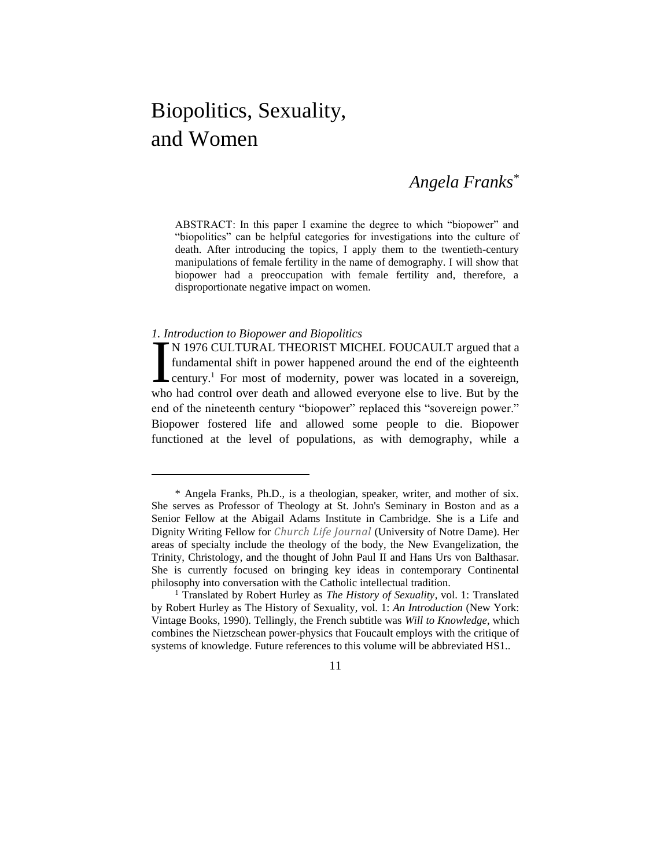# Biopolitics, Sexuality, and Women

# *Angela Franks \**

ABSTRACT: In this paper I examine the degree to which "biopower" and "biopolitics" can be helpful categories for investigations into the culture of death. After introducing the topics, I apply them to the twentieth-century manipulations of female fertility in the name of demography. I will show that biopower had a preoccupation with female fertility and, therefore, a disproportionate negative impact on women.

#### *1. Introduction to Biopower and Biopolitics*

N 1976 CULTURAL THEORIST MICHEL FOUCAULT argued that a fundamental shift in power happened around the end of the eighteenth century.<sup>1</sup> For most of modernity, power was located in a sovereign, who had control over death and allowed everyone else to live. But by the end of the nineteenth century "biopower" replaced this "sovereign power." Biopower fostered life and allowed some people to die. Biopower functioned at the level of populations, as with demography, while a  $\sum_{\text{the}}$ 

11

<sup>\*</sup> Angela Franks, Ph.D., is a theologian, speaker, writer, and mother of six. She serves as Professor of Theology at St. John's Seminary in Boston and as a Senior Fellow at the Abigail Adams Institute in Cambridge. She is a Life and Dignity Writing Fellow for *Church Life Journal* (University of Notre Dame). Her areas of specialty include the theology of the body, the New Evangelization, the Trinity, Christology, and the thought of John Paul II and Hans Urs von Balthasar. She is currently focused on bringing key ideas in contemporary Continental philosophy into conversation with the Catholic intellectual tradition.

<sup>1</sup> Translated by Robert Hurley as *The History of Sexuality*, vol. 1: Translated by Robert Hurley as The History of Sexuality, vol. 1: *An Introduction* (New York: Vintage Books, 1990). Tellingly, the French subtitle was *Will to Knowledge*, which combines the Nietzschean power-physics that Foucault employs with the critique of systems of knowledge. Future references to this volume will be abbreviated HS1..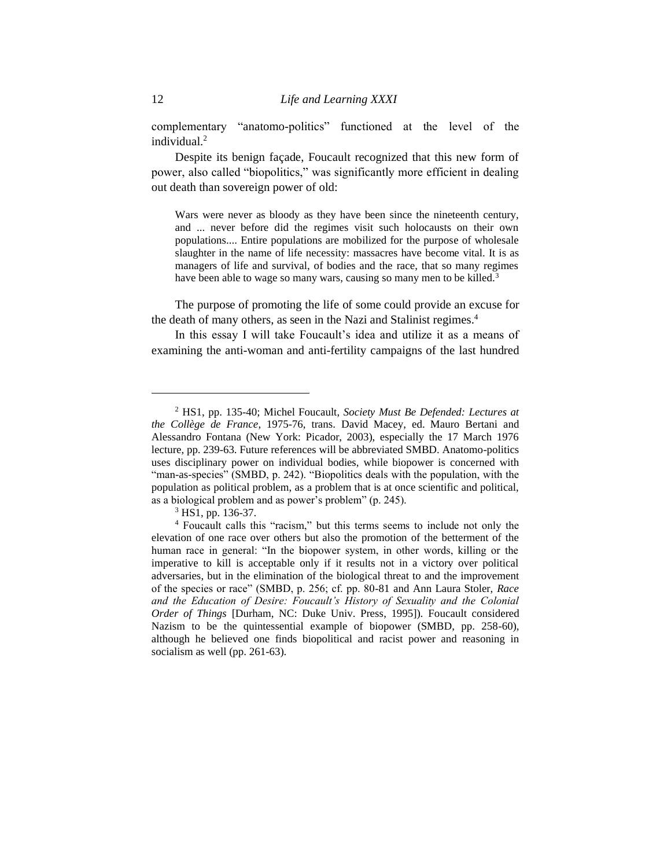complementary "anatomo-politics" functioned at the level of the individual.<sup>2</sup>

Despite its benign façade, Foucault recognized that this new form of power, also called "biopolitics," was significantly more efficient in dealing out death than sovereign power of old:

Wars were never as bloody as they have been since the nineteenth century, and ... never before did the regimes visit such holocausts on their own populations.... Entire populations are mobilized for the purpose of wholesale slaughter in the name of life necessity: massacres have become vital. It is as managers of life and survival, of bodies and the race, that so many regimes have been able to wage so many wars, causing so many men to be killed.<sup>3</sup>

The purpose of promoting the life of some could provide an excuse for the death of many others, as seen in the Nazi and Stalinist regimes.<sup>4</sup>

In this essay I will take Foucault's idea and utilize it as a means of examining the anti-woman and anti-fertility campaigns of the last hundred

<sup>2</sup> HS1, pp. 135-40; Michel Foucault, *Society Must Be Defended: Lectures at the Collège de France*, 1975-76, trans. David Macey, ed. Mauro Bertani and Alessandro Fontana (New York: Picador, 2003), especially the 17 March 1976 lecture, pp. 239-63. Future references will be abbreviated SMBD. Anatomo-politics uses disciplinary power on individual bodies, while biopower is concerned with "man-as-species" (SMBD, p. 242). "Biopolitics deals with the population, with the population as political problem, as a problem that is at once scientific and political, as a biological problem and as power's problem" (p. 245).

<sup>3</sup> HS1, pp. 136-37.

<sup>4</sup> Foucault calls this "racism," but this terms seems to include not only the elevation of one race over others but also the promotion of the betterment of the human race in general: "In the biopower system, in other words, killing or the imperative to kill is acceptable only if it results not in a victory over political adversaries, but in the elimination of the biological threat to and the improvement of the species or race" (SMBD, p. 256; cf. pp. 80-81 and Ann Laura Stoler, *Race and the Education of Desire: Foucault's History of Sexuality and the Colonial Order of Things* [Durham, NC: Duke Univ. Press, 1995]). Foucault considered Nazism to be the quintessential example of biopower (SMBD, pp. 258-60), although he believed one finds biopolitical and racist power and reasoning in socialism as well (pp. 261-63).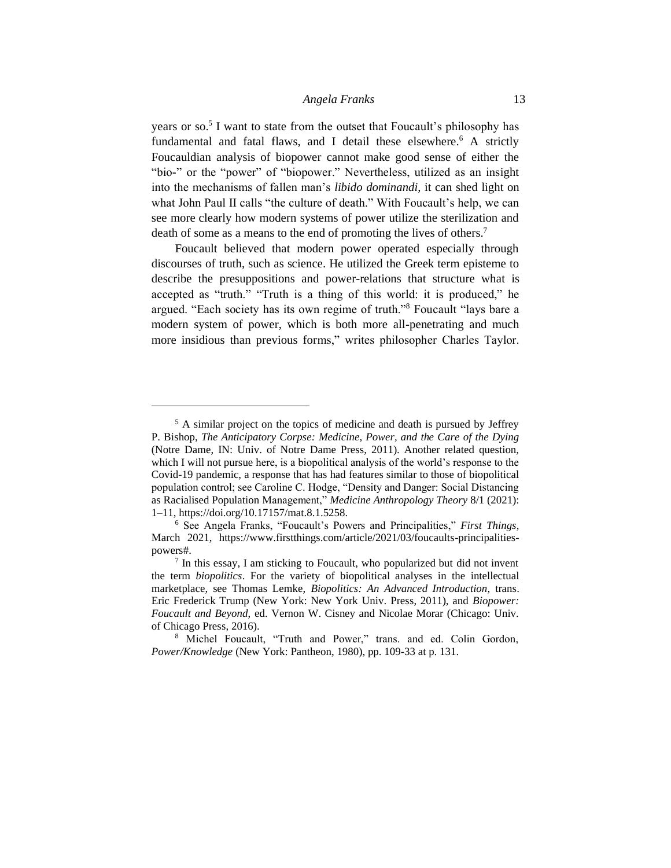## *Angela Franks* 13

years or so.<sup>5</sup> I want to state from the outset that Foucault's philosophy has fundamental and fatal flaws, and I detail these elsewhere.<sup>6</sup> A strictly Foucauldian analysis of biopower cannot make good sense of either the "bio-" or the "power" of "biopower." Nevertheless, utilized as an insight into the mechanisms of fallen man's *libido dominandi*, it can shed light on what John Paul II calls "the culture of death." With Foucault's help, we can see more clearly how modern systems of power utilize the sterilization and death of some as a means to the end of promoting the lives of others.<sup>7</sup>

Foucault believed that modern power operated especially through discourses of truth, such as science. He utilized the Greek term episteme to describe the presuppositions and power-relations that structure what is accepted as "truth." "Truth is a thing of this world: it is produced," he argued. "Each society has its own regime of truth."<sup>8</sup> Foucault "lays bare a modern system of power, which is both more all-penetrating and much more insidious than previous forms," writes philosopher Charles Taylor.

<sup>&</sup>lt;sup>5</sup> A similar project on the topics of medicine and death is pursued by Jeffrey P. Bishop, *The Anticipatory Corpse: Medicine, Power, and the Care of the Dying* (Notre Dame, IN: Univ. of Notre Dame Press, 2011). Another related question, which I will not pursue here, is a biopolitical analysis of the world's response to the Covid-19 pandemic, a response that has had features similar to those of biopolitical population control; see Caroline C. Hodge, "Density and Danger: Social Distancing as Racialised Population Management," *Medicine Anthropology Theory* 8/1 (2021): 1–11, https://doi.org/10.17157/mat.8.1.5258.

<sup>6</sup> See Angela Franks, "Foucault's Powers and Principalities," *First Things*, March 2021, https://www.firstthings.com/article/2021/03/foucaults-principalitiespowers#.

<sup>7</sup> In this essay, I am sticking to Foucault, who popularized but did not invent the term *biopolitics*. For the variety of biopolitical analyses in the intellectual marketplace, see Thomas Lemke, *Biopolitics: An Advanced Introduction*, trans. Eric Frederick Trump (New York: New York Univ. Press, 2011), and *Biopower: Foucault and Beyond*, ed. Vernon W. Cisney and Nicolae Morar (Chicago: Univ. of Chicago Press, 2016).

<sup>8</sup> Michel Foucault, "Truth and Power," trans. and ed. Colin Gordon, *Power/Knowledge* (New York: Pantheon, 1980), pp. 109-33 at p. 131.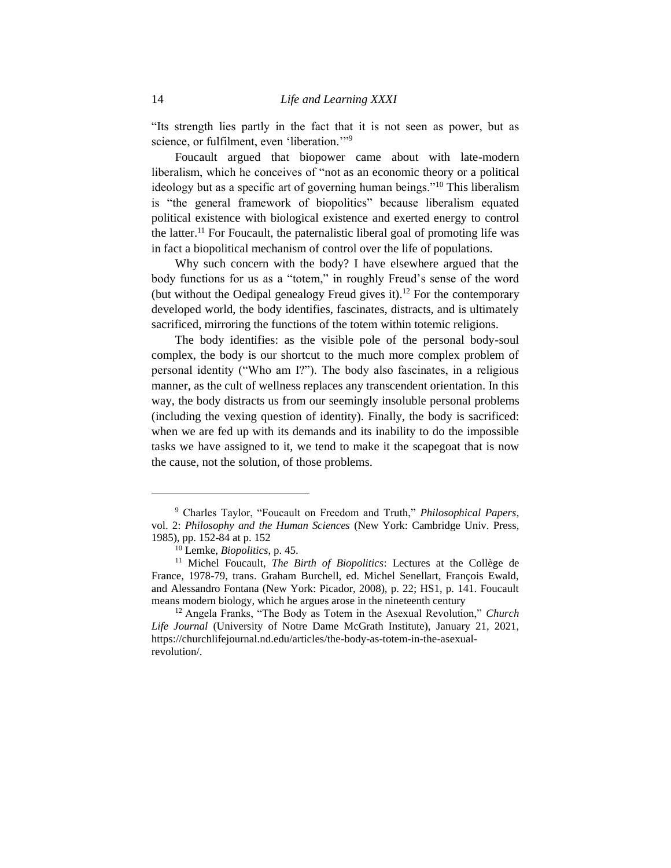"Its strength lies partly in the fact that it is not seen as power, but as science, or fulfilment, even 'liberation.'"<sup>9</sup>

Foucault argued that biopower came about with late-modern liberalism, which he conceives of "not as an economic theory or a political ideology but as a specific art of governing human beings."<sup>10</sup> This liberalism is "the general framework of biopolitics" because liberalism equated political existence with biological existence and exerted energy to control the latter.<sup>11</sup> For Foucault, the paternalistic liberal goal of promoting life was in fact a biopolitical mechanism of control over the life of populations.

Why such concern with the body? I have elsewhere argued that the body functions for us as a "totem," in roughly Freud's sense of the word (but without the Oedipal genealogy Freud gives it).<sup>12</sup> For the contemporary developed world, the body identifies, fascinates, distracts, and is ultimately sacrificed, mirroring the functions of the totem within totemic religions.

The body identifies: as the visible pole of the personal body-soul complex, the body is our shortcut to the much more complex problem of personal identity ("Who am I?"). The body also fascinates, in a religious manner, as the cult of wellness replaces any transcendent orientation. In this way, the body distracts us from our seemingly insoluble personal problems (including the vexing question of identity). Finally, the body is sacrificed: when we are fed up with its demands and its inability to do the impossible tasks we have assigned to it, we tend to make it the scapegoat that is now the cause, not the solution, of those problems.

<sup>9</sup> Charles Taylor, "Foucault on Freedom and Truth," *Philosophical Papers*, vol. 2: *Philosophy and the Human Sciences* (New York: Cambridge Univ. Press, 1985), pp. 152-84 at p. 152

<sup>10</sup> Lemke, *Biopolitics*, p. 45.

<sup>11</sup> Michel Foucault, *The Birth of Biopolitics*: Lectures at the Collège de France, 1978-79, trans. Graham Burchell, ed. Michel Senellart, François Ewald, and Alessandro Fontana (New York: Picador, 2008), p. 22; HS1, p. 141. Foucault means modern biology, which he argues arose in the nineteenth century

<sup>12</sup> Angela Franks, "The Body as Totem in the Asexual Revolution," *Church Life Journal* (University of Notre Dame McGrath Institute), January 21, 2021, https://churchlifejournal.nd.edu/articles/the-body-as-totem-in-the-asexualrevolution/.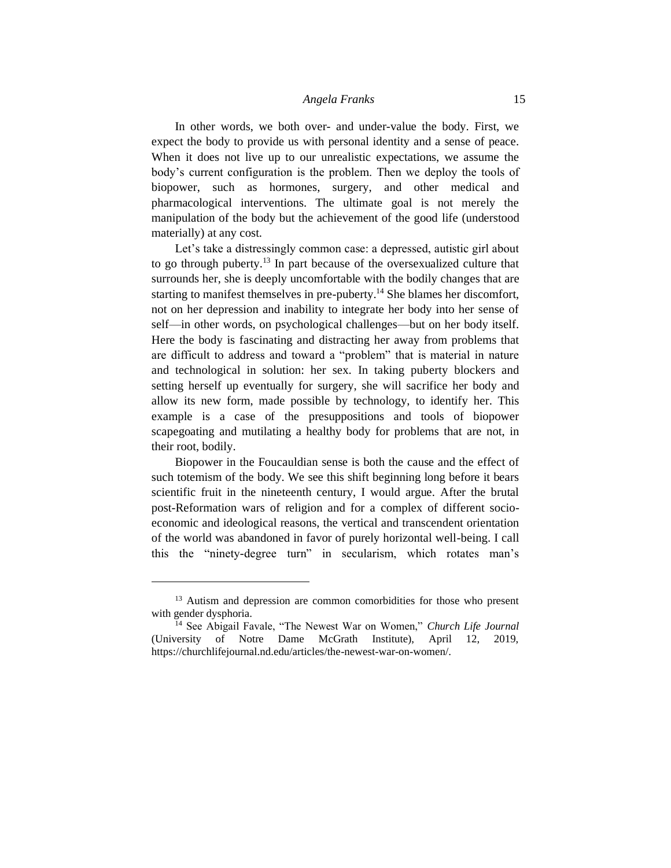## *Angela Franks* 15

In other words, we both over- and under-value the body. First, we expect the body to provide us with personal identity and a sense of peace. When it does not live up to our unrealistic expectations, we assume the body's current configuration is the problem. Then we deploy the tools of biopower, such as hormones, surgery, and other medical and pharmacological interventions. The ultimate goal is not merely the manipulation of the body but the achievement of the good life (understood materially) at any cost.

Let's take a distressingly common case: a depressed, autistic girl about to go through puberty.<sup>13</sup> In part because of the oversexualized culture that surrounds her, she is deeply uncomfortable with the bodily changes that are starting to manifest themselves in pre-puberty.<sup>14</sup> She blames her discomfort, not on her depression and inability to integrate her body into her sense of self—in other words, on psychological challenges—but on her body itself. Here the body is fascinating and distracting her away from problems that are difficult to address and toward a "problem" that is material in nature and technological in solution: her sex. In taking puberty blockers and setting herself up eventually for surgery, she will sacrifice her body and allow its new form, made possible by technology, to identify her. This example is a case of the presuppositions and tools of biopower scapegoating and mutilating a healthy body for problems that are not, in their root, bodily.

Biopower in the Foucauldian sense is both the cause and the effect of such totemism of the body. We see this shift beginning long before it bears scientific fruit in the nineteenth century, I would argue. After the brutal post-Reformation wars of religion and for a complex of different socioeconomic and ideological reasons, the vertical and transcendent orientation of the world was abandoned in favor of purely horizontal well-being. I call this the "ninety-degree turn" in secularism, which rotates man's

<sup>&</sup>lt;sup>13</sup> Autism and depression are common comorbidities for those who present with gender dysphoria.

<sup>14</sup> See Abigail Favale, "The Newest War on Women," *Church Life Journal* (University of Notre Dame McGrath Institute), April 12, 2019, https://churchlifejournal.nd.edu/articles/the-newest-war-on-women/.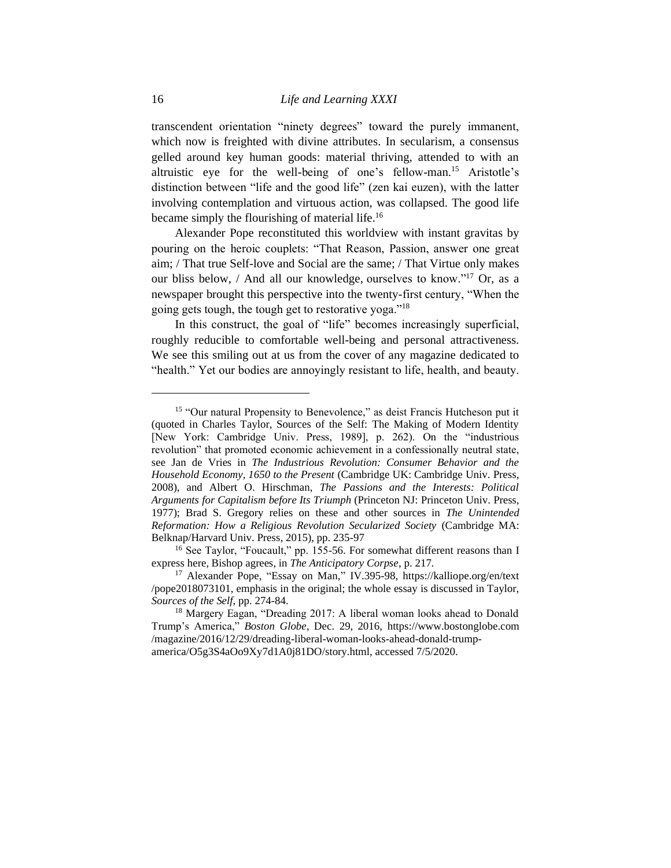transcendent orientation "ninety degrees" toward the purely immanent, which now is freighted with divine attributes. In secularism, a consensus gelled around key human goods: material thriving, attended to with an altruistic eye for the well-being of one's fellow-man. <sup>15</sup> Aristotle's distinction between "life and the good life" (zen kai euzen), with the latter involving contemplation and virtuous action, was collapsed. The good life became simply the flourishing of material life.<sup>16</sup>

Alexander Pope reconstituted this worldview with instant gravitas by pouring on the heroic couplets: "That Reason, Passion, answer one great aim; / That true Self-love and Social are the same; / That Virtue only makes our bliss below, / And all our knowledge, ourselves to know."<sup>17</sup> Or, as a [newspaper](about:blank) brought this perspective into the twenty-first century, "When the going gets tough, the tough get to restorative yoga."<sup>18</sup>

In this construct, the goal of "life" becomes increasingly superficial, roughly reducible to comfortable well-being and personal attractiveness. We see this smiling out at us from the cover of any magazine dedicated to "health." Yet our bodies are annoyingly resistant to life, health, and beauty.

<sup>&</sup>lt;sup>15</sup> "Our natural Propensity to Benevolence," as deist Francis Hutcheson put it (quoted in Charles Taylor, Sources of the Self: The Making of Modern Identity [New York: Cambridge Univ. Press, 1989], p. 262). On the "industrious revolution" that promoted economic achievement in a confessionally neutral state, see Jan de Vries in *The Industrious Revolution: Consumer Behavior and the Household Economy, 1650 to the Present* (Cambridge UK: Cambridge Univ. Press, 2008), and Albert O. Hirschman, *The Passions and the Interests: Political Arguments for Capitalism before Its Triumph* (Princeton NJ: Princeton Univ. Press, 1977); Brad S. Gregory relies on these and other sources in *The Unintended Reformation: How a Religious Revolution Secularized Society* (Cambridge MA: Belknap/Harvard Univ. Press, 2015), pp. 235-97

<sup>&</sup>lt;sup>16</sup> See Taylor, "Foucault," pp. 155-56. For somewhat different reasons than I express here, Bishop agrees, in *The Anticipatory Corpse*, p. 217.

<sup>&</sup>lt;sup>17</sup> Alexander Pope, "Essay on Man," IV.395-98, https://kalliope.org/en/text /pope2018073101, emphasis in the original; the whole essay is discussed in Taylor, *Sources of the Self*, pp. 274-84.

<sup>&</sup>lt;sup>18</sup> Margery Eagan, "Dreading 2017: A liberal woman looks ahead to Donald Trump's America," *Boston Globe*, Dec. 29, 2016, https://www.bostonglobe.com /magazine/2016/12/29/dreading-liberal-woman-looks-ahead-donald-trumpamerica/O5g3S4aOo9Xy7d1A0j81DO/story.html, accessed 7/5/2020.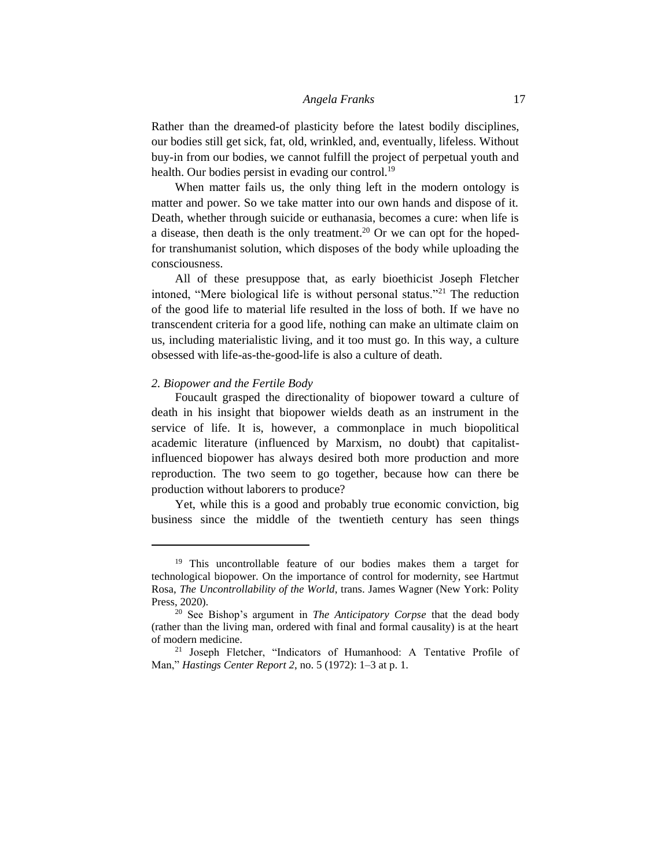Rather than the dreamed-of plasticity before the latest bodily disciplines, our bodies still get sick, fat, old, wrinkled, and, eventually, lifeless. Without buy-in from our bodies, we cannot fulfill the project of perpetual youth and health. Our bodies persist in evading our control.<sup>19</sup>

When matter fails us, the only thing left in the modern ontology is matter and power. So we take matter into our own hands and dispose of it. Death, whether through suicide or euthanasia, becomes a cure: when life is a disease, then death is the only treatment.<sup>20</sup> Or we can opt for the hopedfor transhumanist solution, which disposes of the body while uploading the consciousness.

All of these presuppose that, as early bioethicist Joseph Fletcher intoned, "Mere biological life is without personal status."<sup>21</sup> The reduction of the good life to material life resulted in the loss of both. If we have no transcendent criteria for a good life, nothing can make an ultimate claim on us, including materialistic living, and it too must go. In this way, a culture obsessed with life-as-the-good-life is also a culture of death.

#### *2. Biopower and the Fertile Body*

Foucault grasped the directionality of biopower toward a culture of death in his insight that biopower wields death as an instrument in the service of life. It is, however, a commonplace in much biopolitical academic literature (influenced by Marxism, no doubt) that capitalistinfluenced biopower has always desired both more production and more reproduction. The two seem to go together, because how can there be production without laborers to produce?

Yet, while this is a good and probably true economic conviction, big business since the middle of the twentieth century has seen things

<sup>&</sup>lt;sup>19</sup> This uncontrollable feature of our bodies makes them a target for technological biopower. On the importance of control for modernity, see Hartmut Rosa, *The Uncontrollability of the World*, trans. James Wagner (New York: Polity Press, 2020).

<sup>20</sup> See Bishop's argument in *The Anticipatory Corpse* that the dead body (rather than the living man, ordered with final and formal causality) is at the heart of modern medicine.

<sup>21</sup> Joseph Fletcher, "Indicators of Humanhood: A Tentative Profile of Man," *Hastings Center Report 2*, no. 5 (1972): 1–3 at p. 1.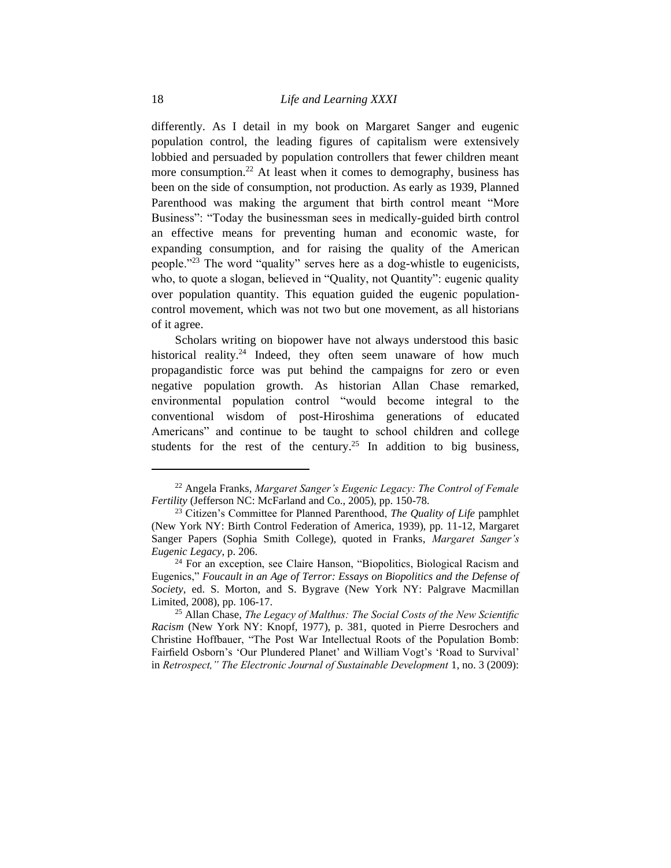differently. As I detail in my book on Margaret Sanger and eugenic population control, the leading figures of capitalism were extensively lobbied and persuaded by population controllers that fewer children meant more consumption.<sup>22</sup> At least when it comes to demography, business has been on the side of consumption, not production. As early as 1939, Planned Parenthood was making the argument that birth control meant "More Business": "Today the businessman sees in medically-guided birth control an effective means for preventing human and economic waste, for expanding consumption, and for raising the quality of the American people."<sup>23</sup> The word "quality" serves here as a dog-whistle to eugenicists, who, to quote a slogan, believed in "Quality, not Quantity": eugenic quality over population quantity. This equation guided the eugenic populationcontrol movement, which was not two but one movement, as all historians of it agree.

Scholars writing on biopower have not always understood this basic historical reality.<sup>24</sup> Indeed, they often seem unaware of how much propagandistic force was put behind the campaigns for zero or even negative population growth. As historian Allan Chase remarked, environmental population control "would become integral to the conventional wisdom of post-Hiroshima generations of educated Americans" and continue to be taught to school children and college students for the rest of the century.<sup>25</sup> In addition to big business,

<sup>22</sup> Angela Franks, *Margaret Sanger's Eugenic Legacy: The Control of Female Fertility* (Jefferson NC: McFarland and Co., 2005), pp. 150-78.

<sup>23</sup> Citizen's Committee for Planned Parenthood, *The Quality of Life* pamphlet (New York NY: Birth Control Federation of America, 1939), pp. 11-12, Margaret Sanger Papers (Sophia Smith College), quoted in Franks, *Margaret Sanger's Eugenic Legacy*, p. 206.

<sup>&</sup>lt;sup>24</sup> For an exception, see Claire Hanson, "Biopolitics, Biological Racism and Eugenics," *Foucault in an Age of Terror: Essays on Biopolitics and the Defense of Society*, ed. S. Morton, and S. Bygrave (New York NY: Palgrave Macmillan Limited, 2008), pp. 106-17.

<sup>25</sup> Allan Chase, *The Legacy of Malthus: The Social Costs of the New Scientific Racism* (New York NY: Knopf, 1977), p. 381, quoted in Pierre Desrochers and Christine Hoffbauer, "The Post War Intellectual Roots of the Population Bomb: Fairfield Osborn's 'Our Plundered Planet' and William Vogt's 'Road to Survival' in *Retrospect," The Electronic Journal of Sustainable Development* 1, no. 3 (2009):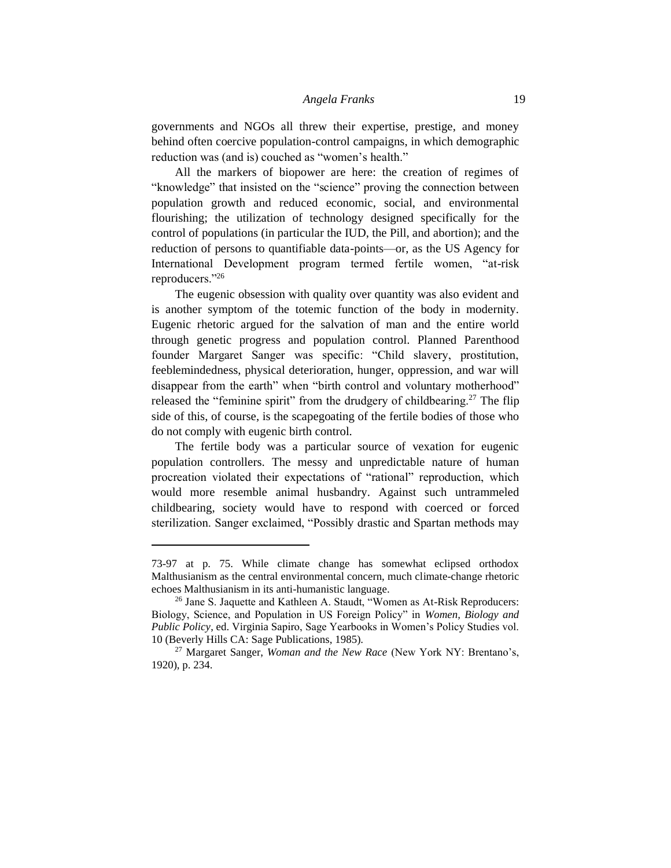governments and NGOs all threw their expertise, prestige, and money behind often coercive population-control campaigns, in which demographic reduction was (and is) couched as "women's health."

All the markers of biopower are here: the creation of regimes of "knowledge" that insisted on the "science" proving the connection between population growth and reduced economic, social, and environmental flourishing; the utilization of technology designed specifically for the control of populations (in particular the IUD, the Pill, and abortion); and the reduction of persons to quantifiable data-points—or, as the US Agency for International Development program termed fertile women, "at-risk reproducers."<sup>26</sup>

The eugenic obsession with quality over quantity was also evident and is another symptom of the totemic function of the body in modernity. Eugenic rhetoric argued for the salvation of man and the entire world through genetic progress and population control. Planned Parenthood founder Margaret Sanger was specific: "Child slavery, prostitution, feeblemindedness, physical deterioration, hunger, oppression, and war will disappear from the earth" when "birth control and voluntary motherhood" released the "feminine spirit" from the drudgery of childbearing.<sup>27</sup> The flip side of this, of course, is the scapegoating of the fertile bodies of those who do not comply with eugenic birth control.

The fertile body was a particular source of vexation for eugenic population controllers. The messy and unpredictable nature of human procreation violated their expectations of "rational" reproduction, which would more resemble animal husbandry. Against such untrammeled childbearing, society would have to respond with coerced or forced sterilization. Sanger exclaimed, "Possibly drastic and Spartan methods may

<sup>73-97</sup> at p. 75. While climate change has somewhat eclipsed orthodox Malthusianism as the central environmental concern, much climate-change rhetoric echoes Malthusianism in its anti-humanistic language.

<sup>26</sup> Jane S. Jaquette and Kathleen A. Staudt, "Women as At-Risk Reproducers: Biology, Science, and Population in US Foreign Policy" in *Women, Biology and Public Policy*, ed. Virginia Sapiro, Sage Yearbooks in Women's Policy Studies vol. 10 (Beverly Hills CA: Sage Publications, 1985).

<sup>27</sup> Margaret Sanger, *Woman and the New Race* (New York NY: Brentano's, 1920), p. 234.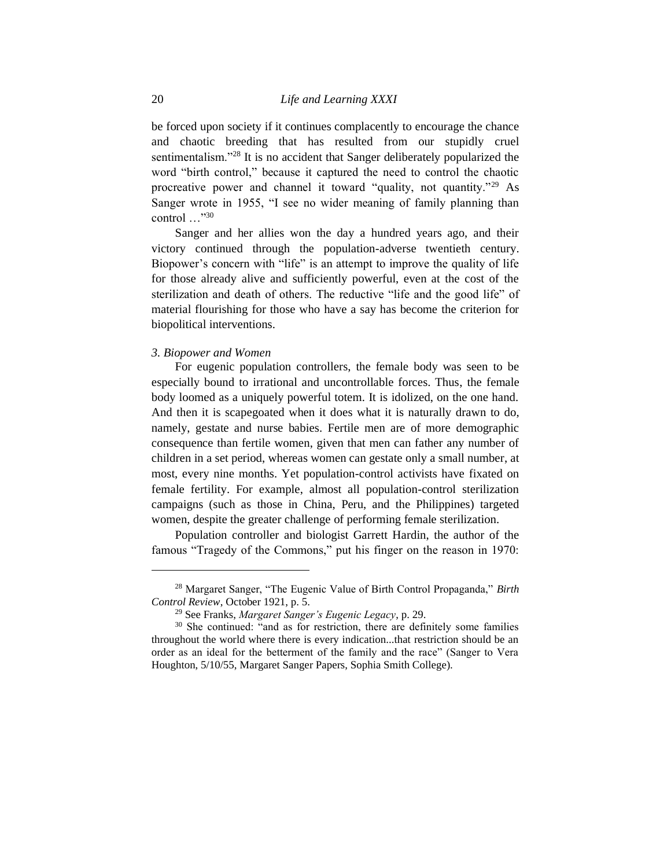be forced upon society if it continues complacently to encourage the chance and chaotic breeding that has resulted from our stupidly cruel sentimentalism."<sup>28</sup> It is no accident that Sanger deliberately popularized the word "birth control," because it captured the need to control the chaotic procreative power and channel it toward "quality, not quantity."<sup>29</sup> As Sanger wrote in 1955, "I see no wider meaning of family planning than control …"<sup>30</sup>

Sanger and her allies won the day a hundred years ago, and their victory continued through the population-adverse twentieth century. Biopower's concern with "life" is an attempt to improve the quality of life for those already alive and sufficiently powerful, even at the cost of the sterilization and death of others. The reductive "life and the good life" of material flourishing for those who have a say has become the criterion for biopolitical interventions.

#### *3. Biopower and Women*

For eugenic population controllers, the female body was seen to be especially bound to irrational and uncontrollable forces. Thus, the female body loomed as a uniquely powerful totem. It is idolized, on the one hand. And then it is scapegoated when it does what it is naturally drawn to do, namely, gestate and nurse babies. Fertile men are of more demographic consequence than fertile women, given that men can father any number of children in a set period, whereas women can gestate only a small number, at most, every nine months. Yet population-control activists have fixated on female fertility. For example, almost all population-control sterilization campaigns (such as those in China, Peru, and the Philippines) targeted women, despite the greater challenge of performing female sterilization.

Population controller and biologist Garrett Hardin, the author of the famous "Tragedy of the Commons," put his finger on the reason in 1970:

<sup>28</sup> Margaret Sanger, "The Eugenic Value of Birth Control Propaganda," *Birth Control Review*, October 1921, p. 5.

<sup>29</sup> See Franks, *Margaret Sanger's Eugenic Legacy*, p. 29.

<sup>&</sup>lt;sup>30</sup> She continued: "and as for restriction, there are definitely some families throughout the world where there is every indication...that restriction should be an order as an ideal for the betterment of the family and the race" (Sanger to Vera Houghton, 5/10/55, Margaret Sanger Papers, Sophia Smith College).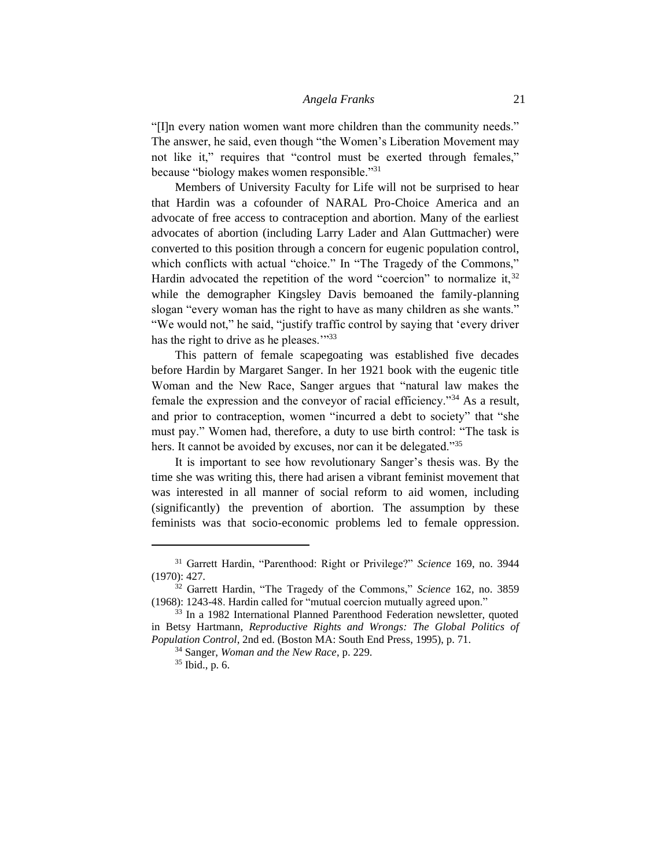"[I]n every nation women want more children than the community needs." The answer, he said, even though "the Women's Liberation Movement may not like it," requires that "control must be exerted through females," because "biology makes women responsible."<sup>31</sup>

Members of University Faculty for Life will not be surprised to hear that Hardin was a cofounder of NARAL Pro-Choice America and an advocate of free access to contraception and abortion. Many of the earliest advocates of abortion (including Larry Lader and Alan Guttmacher) were converted to this position through a concern for eugenic population control, which conflicts with actual "choice." In "The Tragedy of the Commons," Hardin advocated the repetition of the word "coercion" to normalize it,  $32$ while the demographer Kingsley Davis bemoaned the family-planning slogan "every woman has the right to have as many children as she wants." "We would not," he said, "justify traffic control by saying that 'every driver has the right to drive as he pleases."<sup>33</sup>

This pattern of female scapegoating was established five decades before Hardin by Margaret Sanger. In her 1921 book with the eugenic title Woman and the New Race, Sanger argues that "natural law makes the female the expression and the conveyor of racial efficiency."<sup>34</sup> As a result, and prior to contraception, women "incurred a debt to society" that "she must pay." Women had, therefore, a duty to use birth control: "The task is hers. It cannot be avoided by excuses, nor can it be delegated."<sup>35</sup>

It is important to see how revolutionary Sanger's thesis was. By the time she was writing this, there had arisen a vibrant feminist movement that was interested in all manner of social reform to aid women, including (significantly) the prevention of abortion. The assumption by these feminists was that socio-economic problems led to female oppression.

<sup>31</sup> Garrett Hardin, "Parenthood: Right or Privilege?" *Science* 169, no. 3944 (1970): 427.

<sup>32</sup> Garrett Hardin, "The Tragedy of the Commons," *Science* 162, no. 3859 (1968): 1243-48. Hardin called for "mutual coercion mutually agreed upon."

<sup>&</sup>lt;sup>33</sup> In a 1982 International Planned Parenthood Federation newsletter, quoted in Betsy Hartmann, *Reproductive Rights and Wrongs: The Global Politics of Population Control*, 2nd ed. (Boston MA: South End Press, 1995), p. 71.

<sup>34</sup> Sanger, *Woman and the New Race*, p. 229.

<sup>35</sup> Ibid., p. 6.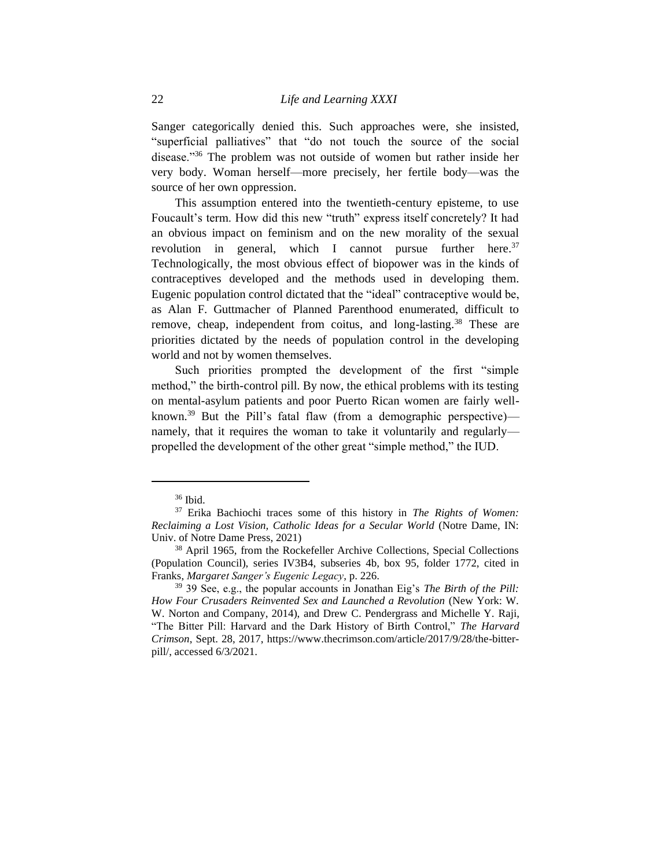Sanger categorically denied this. Such approaches were, she insisted, "superficial palliatives" that "do not touch the source of the social disease."<sup>36</sup> The problem was not outside of women but rather inside her very body. Woman herself—more precisely, her fertile body—was the source of her own oppression.

This assumption entered into the twentieth-century episteme, to use Foucault's term. How did this new "truth" express itself concretely? It had an obvious impact on feminism and on the new morality of the sexual revolution in general, which I cannot pursue further here.<sup>37</sup> Technologically, the most obvious effect of biopower was in the kinds of contraceptives developed and the methods used in developing them. Eugenic population control dictated that the "ideal" contraceptive would be, as Alan F. Guttmacher of Planned Parenthood enumerated, difficult to remove, cheap, independent from coitus, and long-lasting.<sup>38</sup> These are priorities dictated by the needs of population control in the developing world and not by women themselves.

Such priorities prompted the development of the first "simple method," the birth-control pill. By now, the ethical problems with its testing on mental-asylum patients and poor Puerto Rican women are fairly wellknown.<sup>39</sup> But the Pill's fatal flaw (from a demographic perspective) namely, that it requires the woman to take it voluntarily and regularly propelled the development of the other great "simple method," the IUD.

<sup>36</sup> Ibid.

<sup>37</sup> Erika Bachiochi traces some of this history in *The Rights of Women: Reclaiming a Lost Vision, Catholic Ideas for a Secular World* (Notre Dame, IN: Univ. of Notre Dame Press, 2021)

<sup>38</sup> April 1965, from the Rockefeller Archive Collections, Special Collections (Population Council), series IV3B4, subseries 4b, box 95, folder 1772, cited in Franks, *Margaret Sanger's Eugenic Legacy*, p. 226.

<sup>39</sup> 39 See, e.g., the popular accounts in Jonathan Eig's *The Birth of the Pill: How Four Crusaders Reinvented Sex and Launched a Revolution* (New York: W. W. Norton and Company, 2014), and Drew C. Pendergrass and Michelle Y. Raji, "The Bitter Pill: Harvard and the Dark History of Birth Control," *The Harvard Crimson*, Sept. 28, 2017, https://www.thecrimson.com/article/2017/9/28/the-bitterpill/, accessed 6/3/2021.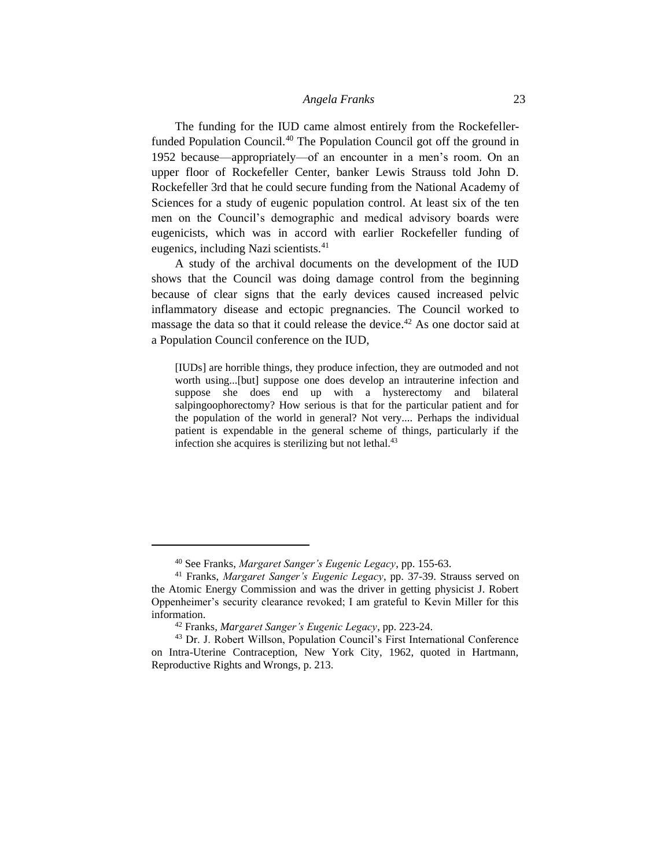## *Angela Franks* 23

The funding for the IUD came almost entirely from the Rockefellerfunded Population Council.<sup>40</sup> The Population Council got off the ground in 1952 because—appropriately—of an encounter in a men's room. On an upper floor of Rockefeller Center, banker Lewis Strauss told John D. Rockefeller 3rd that he could secure funding from the National Academy of Sciences for a study of eugenic population control. At least six of the ten men on the Council's demographic and medical advisory boards were eugenicists, which was in accord with earlier Rockefeller funding of eugenics, including Nazi scientists.<sup>41</sup>

A study of the archival documents on the development of the IUD shows that the Council was doing damage control from the beginning because of clear signs that the early devices caused increased pelvic inflammatory disease and ectopic pregnancies. The Council worked to massage the data so that it could release the device.<sup>42</sup> As one doctor said at a Population Council conference on the IUD,

[IUDs] are horrible things, they produce infection, they are outmoded and not worth using...[but] suppose one does develop an intrauterine infection and suppose she does end up with a hysterectomy and bilateral salpingoophorectomy? How serious is that for the particular patient and for the population of the world in general? Not very.... Perhaps the individual patient is expendable in the general scheme of things, particularly if the infection she acquires is sterilizing but not lethal.<sup>43</sup>

<sup>40</sup> See Franks, *Margaret Sanger's Eugenic Legacy*, pp. 155-63.

<sup>41</sup> Franks, *Margaret Sanger's Eugenic Legacy*, pp. 37-39. Strauss served on the Atomic Energy Commission and was the driver in getting physicist J. Robert Oppenheimer's security clearance revoked; I am grateful to Kevin Miller for this information.

<sup>42</sup> Franks, *Margaret Sanger's Eugenic Legacy*, pp. 223-24.

<sup>43</sup> Dr. J. Robert Willson, Population Council's First International Conference on Intra-Uterine Contraception, New York City, 1962, quoted in Hartmann, Reproductive Rights and Wrongs, p. 213.